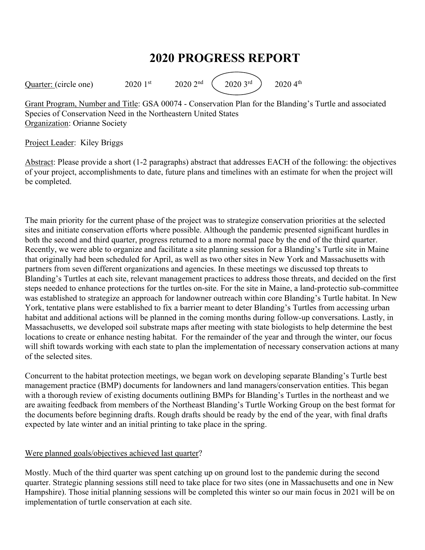# **2020 PROGRESS REPORT**

Quarter: (circle one)  $2020 \, 1^{st}$   $2020 \, 2^{nd}$   $(2020 \, 3^{rd})$   $2020 \, 4^{th}$ 

Grant Program, Number and Title: GSA 00074 - Conservation Plan for the Blanding's Turtle and associated Species of Conservation Need in the Northeastern United States Organization: Orianne Society

### Project Leader: Kiley Briggs

Abstract: Please provide a short (1-2 paragraphs) abstract that addresses EACH of the following: the objectives of your project, accomplishments to date, future plans and timelines with an estimate for when the project will be completed.

The main priority for the current phase of the project was to strategize conservation priorities at the selected sites and initiate conservation efforts where possible. Although the pandemic presented significant hurdles in both the second and third quarter, progress returned to a more normal pace by the end of the third quarter. Recently, we were able to organize and facilitate a site planning session for a Blanding's Turtle site in Maine that originally had been scheduled for April, as well as two other sites in New York and Massachusetts with partners from seven different organizations and agencies. In these meetings we discussed top threats to Blanding's Turtles at each site, relevant management practices to address those threats, and decided on the first steps needed to enhance protections for the turtles on-site. For the site in Maine, a land-protectio sub-committee was established to strategize an approach for landowner outreach within core Blanding's Turtle habitat. In New York, tentative plans were established to fix a barrier meant to deter Blanding's Turtles from accessing urban habitat and additional actions will be planned in the coming months during follow-up conversations. Lastly, in Massachusetts, we developed soil substrate maps after meeting with state biologists to help determine the best locations to create or enhance nesting habitat. For the remainder of the year and through the winter, our focus will shift towards working with each state to plan the implementation of necessary conservation actions at many of the selected sites.

Concurrent to the habitat protection meetings, we began work on developing separate Blanding's Turtle best management practice (BMP) documents for landowners and land managers/conservation entities. This began with a thorough review of existing documents outlining BMPs for Blanding's Turtles in the northeast and we are awaiting feedback from members of the Northeast Blanding's Turtle Working Group on the best format for the documents before beginning drafts. Rough drafts should be ready by the end of the year, with final drafts expected by late winter and an initial printing to take place in the spring.

### Were planned goals/objectives achieved last quarter?

Mostly. Much of the third quarter was spent catching up on ground lost to the pandemic during the second quarter. Strategic planning sessions still need to take place for two sites (one in Massachusetts and one in New Hampshire). Those initial planning sessions will be completed this winter so our main focus in 2021 will be on implementation of turtle conservation at each site.